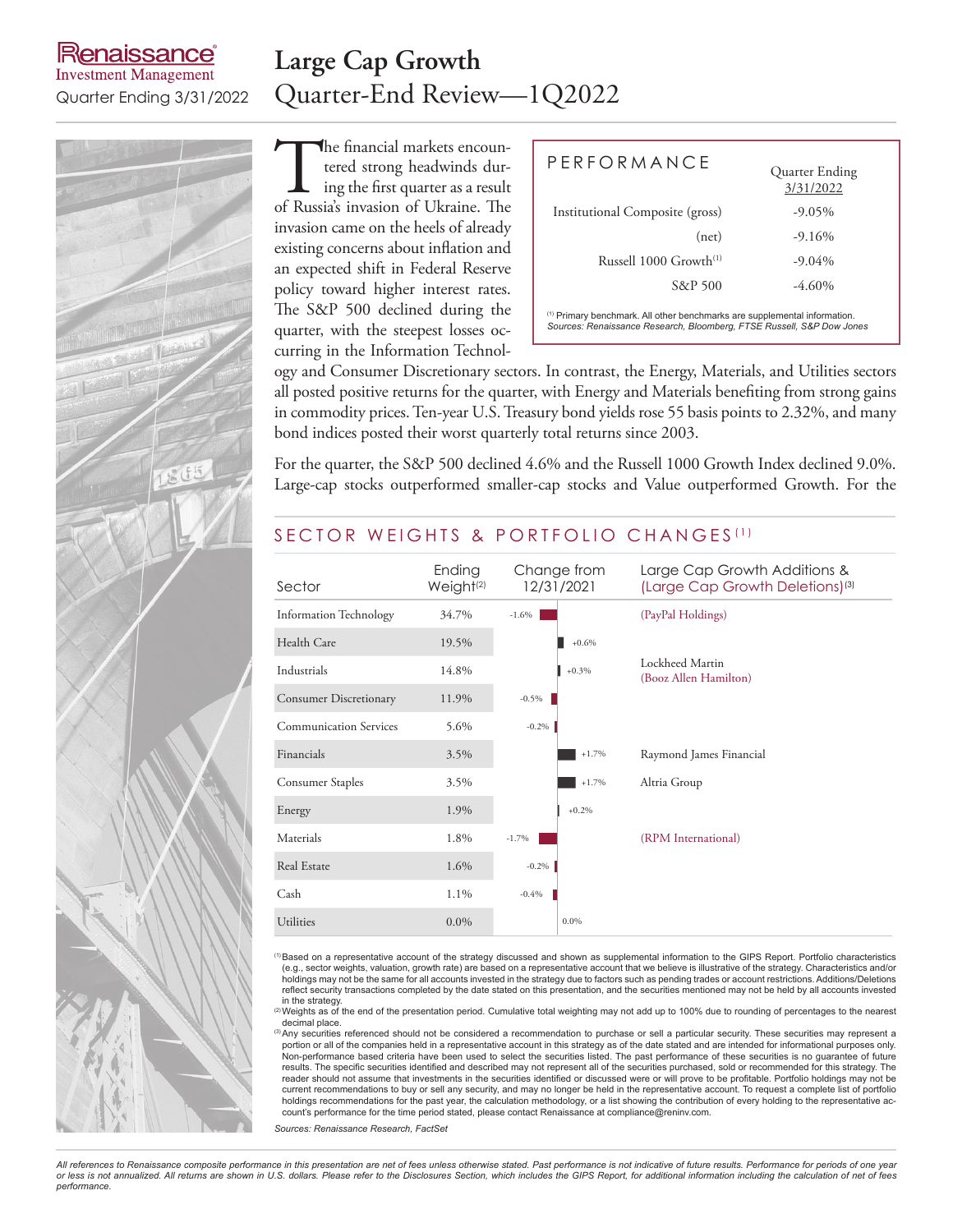### **Renaissance Investment Management**

### **Large Cap Growth** Quarter Ending 3/31/2022 Quarter-End Review—1Q2022

The financial markets encountered strong headwinds during the first quarter as a result of Russia's invasion of Ukraine. The tered strong headwinds during the first quarter as a result invasion came on the heels of already existing concerns about inflation and an expected shift in Federal Reserve policy toward higher interest rates. The S&P 500 declined during the quarter, with the steepest losses occurring in the Information Technol-

| $P$ FRFORMANCF                                                                                                                                                | Quarter Ending<br>3/31/2022 |  |  |  |  |  |
|---------------------------------------------------------------------------------------------------------------------------------------------------------------|-----------------------------|--|--|--|--|--|
| Institutional Composite (gross)                                                                                                                               | $-9.05\%$                   |  |  |  |  |  |
| (net)                                                                                                                                                         | $-9.16%$                    |  |  |  |  |  |
| Russell $1000$ Growth <sup>(1)</sup>                                                                                                                          | $-9.04\%$                   |  |  |  |  |  |
| S&P 500                                                                                                                                                       | $-4.60\%$                   |  |  |  |  |  |
| <sup>(1)</sup> Primary benchmark. All other benchmarks are supplemental information.<br>Sources: Renaissance Research, Bloomberg, FTSE Russell, S&P Dow Jones |                             |  |  |  |  |  |

ogy and Consumer Discretionary sectors. In contrast, the Energy, Materials, and Utilities sectors all posted positive returns for the quarter, with Energy and Materials benefiting from strong gains in commodity prices. Ten-year U.S. Treasury bond yields rose 55 basis points to 2.32%, and many bond indices posted their worst quarterly total returns since 2003.

For the quarter, the S&P 500 declined 4.6% and the Russell 1000 Growth Index declined 9.0%. Large-cap stocks outperformed smaller-cap stocks and Value outperformed Growth. For the

### SECTOR WEIGHTS & PORTFOLIO CHANGES<sup>(1)</sup>

| Sector                        | Ending<br>Weight <sup>(2)</sup> | Change from<br>12/31/2021 | Large Cap Growth Additions &<br>(Large Cap Growth Deletions) <sup>(3)</sup> |
|-------------------------------|---------------------------------|---------------------------|-----------------------------------------------------------------------------|
| <b>Information Technology</b> | 34.7%                           | $-1.6%$                   | (PayPal Holdings)                                                           |
| Health Care                   | 19.5%                           | $+0.6%$                   |                                                                             |
| Industrials                   | 14.8%                           | $+0.3%$                   | Lockheed Martin<br>(Booz Allen Hamilton)                                    |
| Consumer Discretionary        | 11.9%                           | $-0.5\%$                  |                                                                             |
| <b>Communication Services</b> | 5.6%                            | $-0.2\%$                  |                                                                             |
| Financials                    | 3.5%                            | $+1.7%$                   | Raymond James Financial                                                     |
| Consumer Staples              | 3.5%                            | $+1.7%$                   | Altria Group                                                                |
| Energy                        | 1.9%                            | $+0.2%$                   |                                                                             |
| Materials                     | 1.8%                            | $-1.7%$                   | (RPM International)                                                         |
| Real Estate                   | 1.6%                            | $-0.2\%$                  |                                                                             |
| Cash                          | 1.1%                            | $-0.4%$                   |                                                                             |
| Utilities                     | $0.0\%$                         | $0.0\%$                   |                                                                             |

(1)Based on a representative account of the strategy discussed and shown as supplemental information to the GIPS Report. Portfolio characteristics (e.g., sector weights, valuation, growth rate) are based on a representative account that we believe is illustrative of the strategy. Characteristics and/or holdings may not be the same for all accounts invested in the strategy due to factors such as pending trades or account restrictions. Additions/Deletions<br>reflect security transactions completed by the date stated on this p

in the strategy.<br>⑵Weights as of the end of the presentation period. Cumulative total weighting may not add up to 100% due to rounding of percentages to the nearest decimal place

<sup>(3)</sup>Any securities referenced should not be considered a recommendation to purchase or sell a particular security. These securities may represent a portion or all of the companies held in a representative account in this strategy as of the date stated and are intended for informational purposes only.<br>Non-performance based criteria have been used to select the securiti results. The specific securities identified and described may not represent all of the securities purchased, sold or recommended for this strategy. The reader should not assume that investments in the securities identified or discussed were or will prove to be profitable. Portfolio holdings may not be current recommendations to buy or sell any security, and may no longer be held in the representative account. To request a complete list of portfolio holdings recommendations for the past year, the calculation methodology, or a list showing the contribution of every holding to the representative account's performance for the time period stated, please contact Renaissance at compliance@reninv.com.

*Sources: Renaissance Research, FactSet*

*All references to Renaissance composite performance in this presentation are net of fees unless otherwise stated. Past performance is not indicative of future results. Performance for periods of one year or less is not annualized. All returns are shown in U.S. dollars. Please refer to the Disclosures Section, which includes the GIPS Report, for additional information including the calculation of net of fees performance.*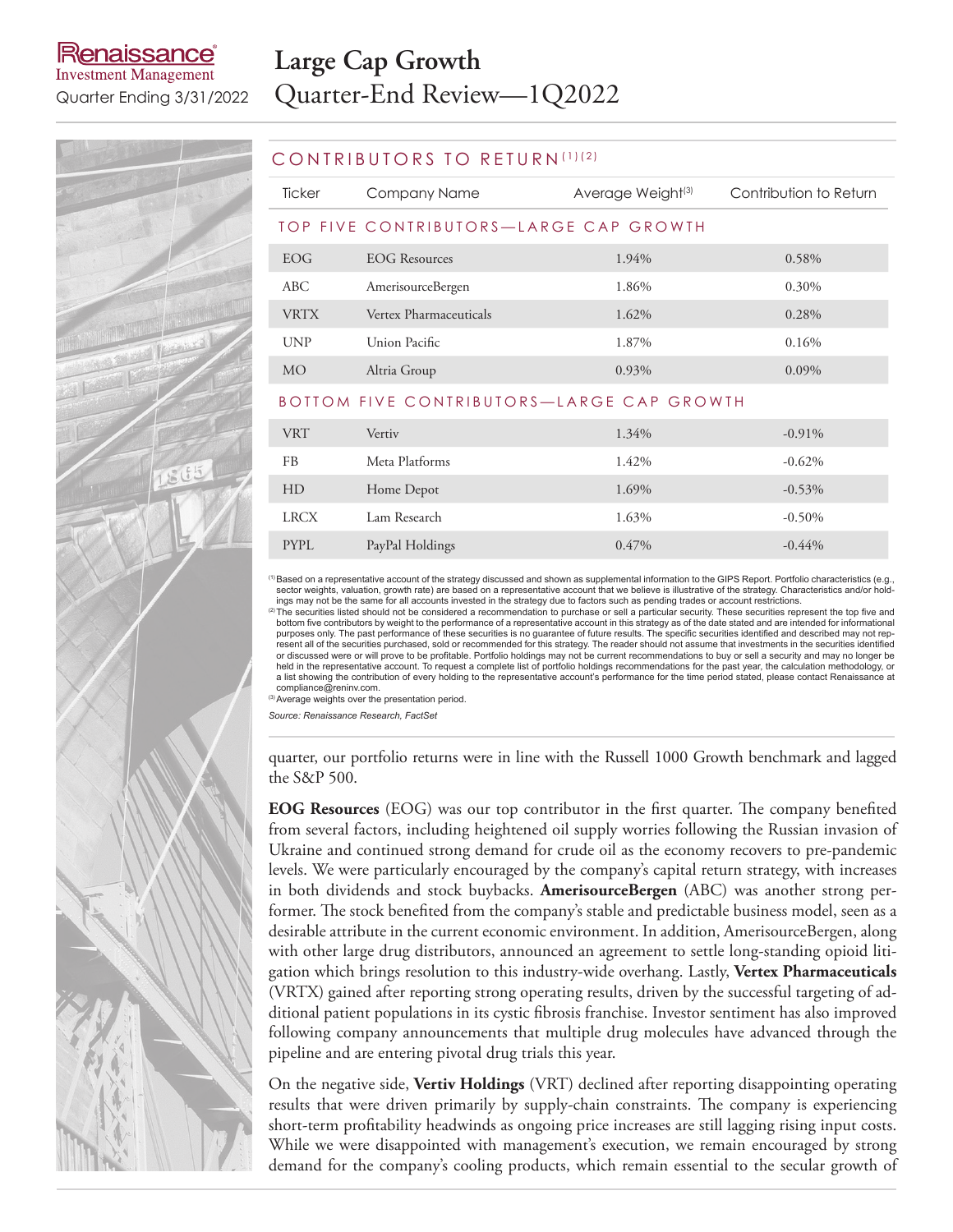# enaissance

**Investment Management** 

# **Large Cap Growth** Quarter Ending 3/31/2022 Quarter-End Review—1Q2022

### CONTRIBUTORS TO RETURN (1)(2)

| Ticker      | Company Name                                       | Average Weight <sup>(3)</sup> | Contribution to Return |  |  |
|-------------|----------------------------------------------------|-------------------------------|------------------------|--|--|
|             | TOP FIVE CONTRIBUTORS-LARGE CAP GROWTH             |                               |                        |  |  |
| EOG         | EOG Resources                                      | 1.94%                         | 0.58%                  |  |  |
| ABC         | AmerisourceBergen                                  | 1.86%                         | 0.30%                  |  |  |
| <b>VRTX</b> | Vertex Pharmaceuticals                             | 1.62%                         | 0.28%                  |  |  |
| <b>UNP</b>  | Union Pacific                                      | 1.87%                         | 0.16%                  |  |  |
| <b>MO</b>   | Altria Group                                       | 0.93%                         | $0.09\%$               |  |  |
|             | <b>DOTTOM EIVE CONTRIBUTORS IMPORTABLE OR MITH</b> |                               |                        |  |  |

#### ON RIBUIORS—LARGE CAP

| <b>VRT</b>  | Vertiv          | 1.34%    | $-0.91\%$ |
|-------------|-----------------|----------|-----------|
| FB          | Meta Platforms  | 1.42%    | $-0.62%$  |
| HD          | Home Depot      | 1.69%    | $-0.53\%$ |
| <b>LRCX</b> | Lam Research    | 1.63%    | $-0.50\%$ |
| <b>PYPL</b> | PayPal Holdings | $0.47\%$ | $-0.44%$  |

(1)Based on a representative account of the strategy discussed and shown as supplemental information to the GIPS Report. Portfolio characteristics (e.g., sector weights, valuation, growth rate) are based on a representative account that we believe is illustrative of the strategy. Characteristics and/or hold-

ings may not be the same for all accounts invested in the strategy due to factors such as pending trades or account restrictions.<br><sup>(2)</sup>The securities listed should not be considered a recommendation to purchase or sell a p bottom five contributors by weight to the performance of a representative account in this strategy as of the date stated and are intended for informational<br>purposes only. The past performance of these securities is no guar or discussed were or will prove to be profitable. Portfolio holdings may not be current recommendations to buy or sell a security and may no longer be<br>held in the representative account. To request a complete list of portf

compliance@reninv.com.<br><sup>(3)</sup>Average weights over the presentation period.

*Source: Renaissance Research, FactSet*

quarter, our portfolio returns were in line with the Russell 1000 Growth benchmark and lagged the S&P 500.

**EOG Resources** (EOG) was our top contributor in the first quarter. The company benefited from several factors, including heightened oil supply worries following the Russian invasion of Ukraine and continued strong demand for crude oil as the economy recovers to pre-pandemic levels. We were particularly encouraged by the company's capital return strategy, with increases in both dividends and stock buybacks. **AmerisourceBergen** (ABC) was another strong performer. The stock benefited from the company's stable and predictable business model, seen as a desirable attribute in the current economic environment. In addition, AmerisourceBergen, along with other large drug distributors, announced an agreement to settle long-standing opioid litigation which brings resolution to this industry-wide overhang. Lastly, **Vertex Pharmaceuticals** (VRTX) gained after reporting strong operating results, driven by the successful targeting of additional patient populations in its cystic fibrosis franchise. Investor sentiment has also improved following company announcements that multiple drug molecules have advanced through the pipeline and are entering pivotal drug trials this year.

On the negative side, **Vertiv Holdings** (VRT) declined after reporting disappointing operating results that were driven primarily by supply-chain constraints. The company is experiencing short-term profitability headwinds as ongoing price increases are still lagging rising input costs. While we were disappointed with management's execution, we remain encouraged by strong demand for the company's cooling products, which remain essential to the secular growth of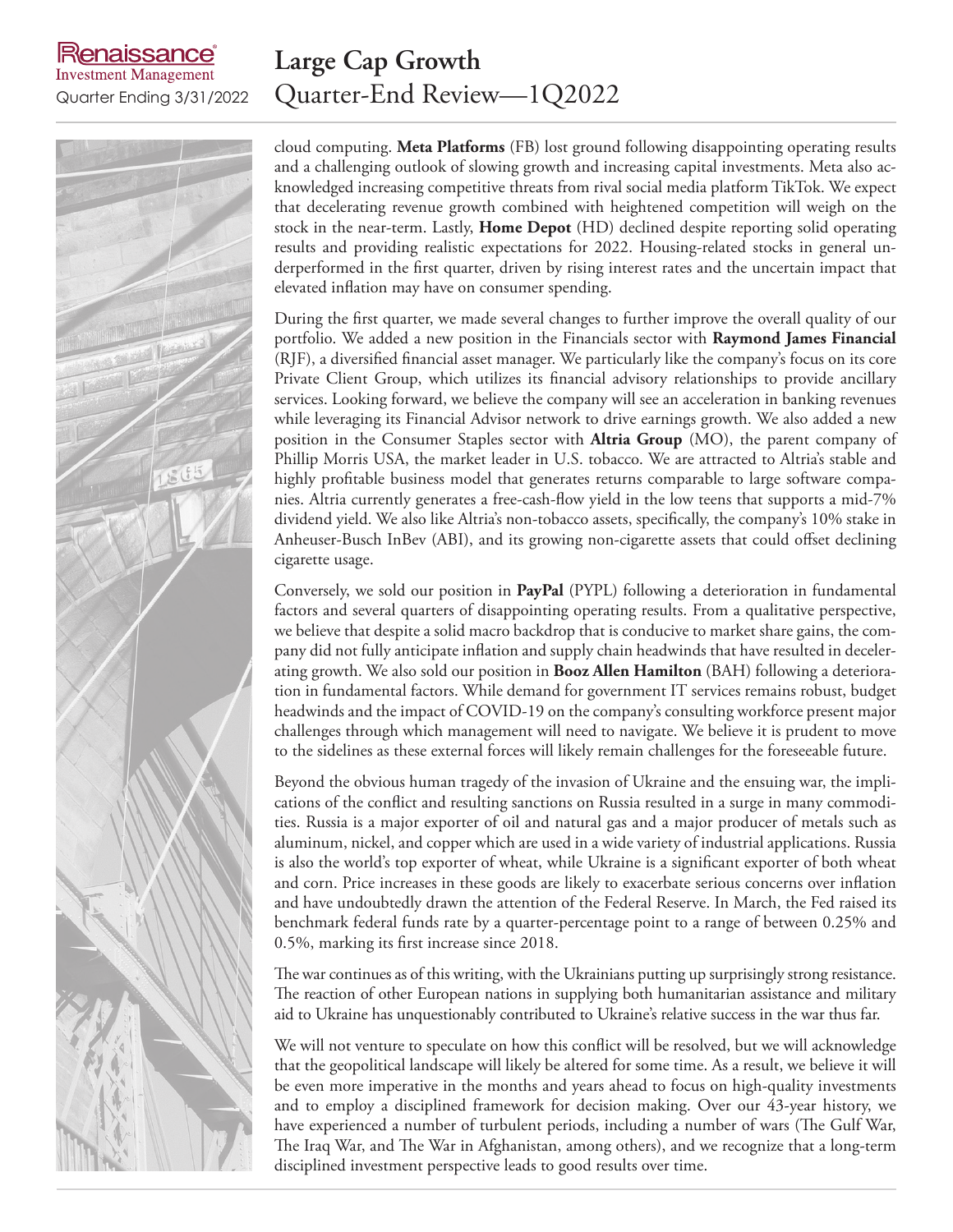lenaissance **Investment Management** 

### **Large Cap Growth** Quarter Ending 3/31/2022 Quarter-End Review—1Q2022

cloud computing. **Meta Platforms** (FB) lost ground following disappointing operating results and a challenging outlook of slowing growth and increasing capital investments. Meta also acknowledged increasing competitive threats from rival social media platform TikTok. We expect that decelerating revenue growth combined with heightened competition will weigh on the stock in the near-term. Lastly, **Home Depot** (HD) declined despite reporting solid operating results and providing realistic expectations for 2022. Housing-related stocks in general underperformed in the first quarter, driven by rising interest rates and the uncertain impact that elevated inflation may have on consumer spending.

During the first quarter, we made several changes to further improve the overall quality of our portfolio. We added a new position in the Financials sector with **Raymond James Financial** (RJF), a diversified financial asset manager. We particularly like the company's focus on its core Private Client Group, which utilizes its financial advisory relationships to provide ancillary services. Looking forward, we believe the company will see an acceleration in banking revenues while leveraging its Financial Advisor network to drive earnings growth. We also added a new position in the Consumer Staples sector with **Altria Group** (MO), the parent company of Phillip Morris USA, the market leader in U.S. tobacco. We are attracted to Altria's stable and highly profitable business model that generates returns comparable to large software companies. Altria currently generates a free-cash-flow yield in the low teens that supports a mid-7% dividend yield. We also like Altria's non-tobacco assets, specifically, the company's 10% stake in Anheuser-Busch InBev (ABI), and its growing non-cigarette assets that could offset declining cigarette usage.

Conversely, we sold our position in **PayPal** (PYPL) following a deterioration in fundamental factors and several quarters of disappointing operating results. From a qualitative perspective, we believe that despite a solid macro backdrop that is conducive to market share gains, the company did not fully anticipate inflation and supply chain headwinds that have resulted in decelerating growth. We also sold our position in **Booz Allen Hamilton** (BAH) following a deterioration in fundamental factors. While demand for government IT services remains robust, budget headwinds and the impact of COVID-19 on the company's consulting workforce present major challenges through which management will need to navigate. We believe it is prudent to move to the sidelines as these external forces will likely remain challenges for the foreseeable future.

Beyond the obvious human tragedy of the invasion of Ukraine and the ensuing war, the implications of the conflict and resulting sanctions on Russia resulted in a surge in many commodities. Russia is a major exporter of oil and natural gas and a major producer of metals such as aluminum, nickel, and copper which are used in a wide variety of industrial applications. Russia is also the world's top exporter of wheat, while Ukraine is a significant exporter of both wheat and corn. Price increases in these goods are likely to exacerbate serious concerns over inflation and have undoubtedly drawn the attention of the Federal Reserve. In March, the Fed raised its benchmark federal funds rate by a quarter-percentage point to a range of between 0.25% and 0.5%, marking its first increase since 2018.

The war continues as of this writing, with the Ukrainians putting up surprisingly strong resistance. The reaction of other European nations in supplying both humanitarian assistance and military aid to Ukraine has unquestionably contributed to Ukraine's relative success in the war thus far.

We will not venture to speculate on how this conflict will be resolved, but we will acknowledge that the geopolitical landscape will likely be altered for some time. As a result, we believe it will be even more imperative in the months and years ahead to focus on high-quality investments and to employ a disciplined framework for decision making. Over our 43-year history, we have experienced a number of turbulent periods, including a number of wars (The Gulf War, The Iraq War, and The War in Afghanistan, among others), and we recognize that a long-term disciplined investment perspective leads to good results over time.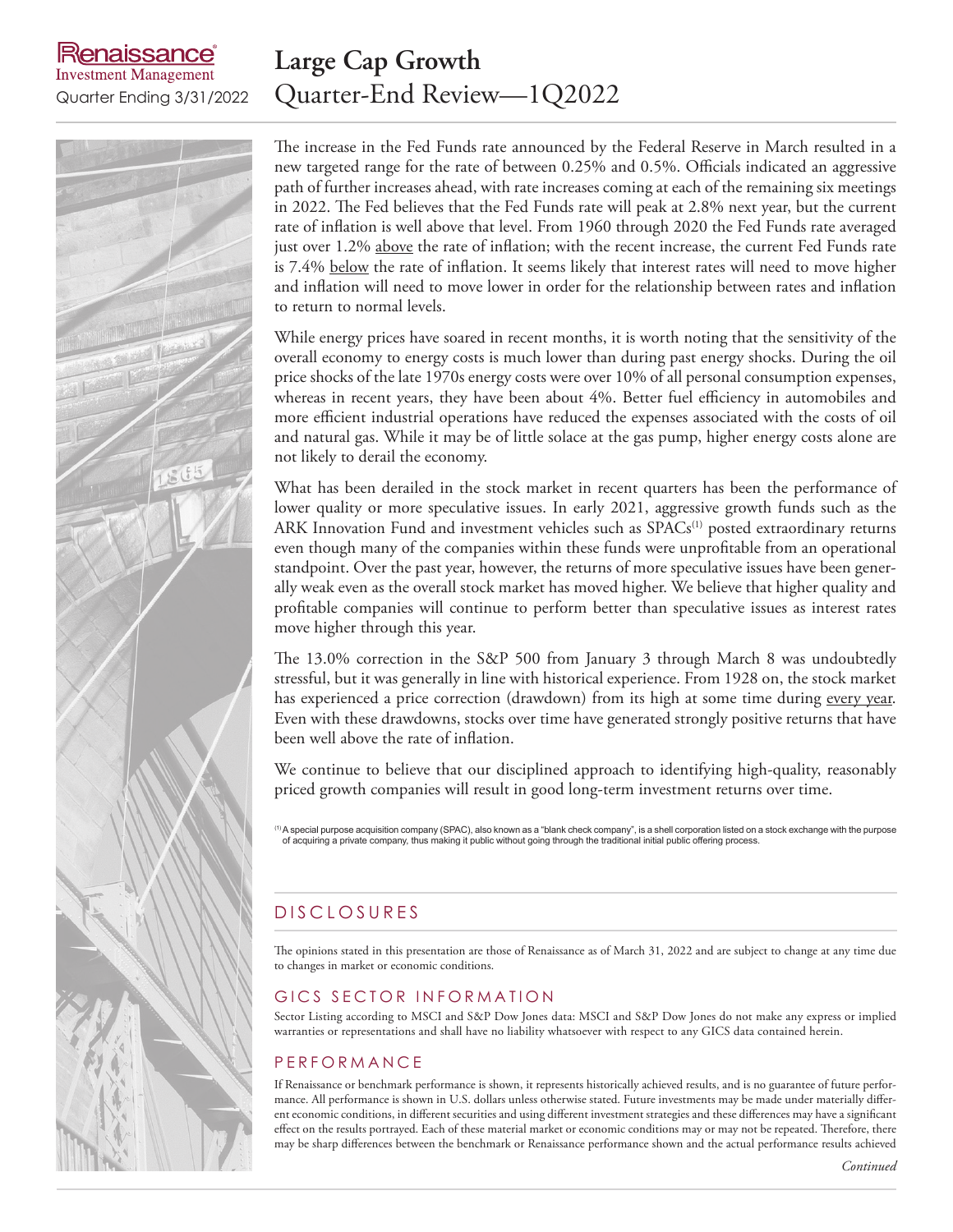aissance **Investment Management** 

### **Large Cap Growth** Quarter Ending 3/31/2022 Quarter-End Review—1Q2022

The increase in the Fed Funds rate announced by the Federal Reserve in March resulted in a new targeted range for the rate of between 0.25% and 0.5%. Officials indicated an aggressive path of further increases ahead, with rate increases coming at each of the remaining six meetings in 2022. The Fed believes that the Fed Funds rate will peak at 2.8% next year, but the current rate of inflation is well above that level. From 1960 through 2020 the Fed Funds rate averaged just over 1.2% above the rate of inflation; with the recent increase, the current Fed Funds rate is 7.4% below the rate of inflation. It seems likely that interest rates will need to move higher and inflation will need to move lower in order for the relationship between rates and inflation to return to normal levels.

While energy prices have soared in recent months, it is worth noting that the sensitivity of the overall economy to energy costs is much lower than during past energy shocks. During the oil price shocks of the late 1970s energy costs were over 10% of all personal consumption expenses, whereas in recent years, they have been about 4%. Better fuel efficiency in automobiles and more efficient industrial operations have reduced the expenses associated with the costs of oil and natural gas. While it may be of little solace at the gas pump, higher energy costs alone are not likely to derail the economy.

What has been derailed in the stock market in recent quarters has been the performance of lower quality or more speculative issues. In early 2021, aggressive growth funds such as the ARK Innovation Fund and investment vehicles such as  $SPACs<sup>(1)</sup>$  posted extraordinary returns even though many of the companies within these funds were unprofitable from an operational standpoint. Over the past year, however, the returns of more speculative issues have been generally weak even as the overall stock market has moved higher. We believe that higher quality and profitable companies will continue to perform better than speculative issues as interest rates move higher through this year.

The 13.0% correction in the S&P 500 from January 3 through March 8 was undoubtedly stressful, but it was generally in line with historical experience. From 1928 on, the stock market has experienced a price correction (drawdown) from its high at some time during every year. Even with these drawdowns, stocks over time have generated strongly positive returns that have been well above the rate of inflation.

We continue to believe that our disciplined approach to identifying high-quality, reasonably priced growth companies will result in good long-term investment returns over time.

 $^{(1)}$ A special purpose acquisition company (SPAC), also known as a "blank check company", is a shell corporation listed on a stock exchange with the purpose of acquiring a private company, thus making it public without going through the traditional initial public offering process.

### D IS CLOSURES

The opinions stated in this presentation are those of Renaissance as of March 31, 2022 and are subject to change at any time due to changes in market or economic conditions.

### GICS SECTOR INFORMATION

Sector Listing according to MSCI and S&P Dow Jones data: MSCI and S&P Dow Jones do not make any express or implied warranties or representations and shall have no liability whatsoever with respect to any GICS data contained herein.

### **PERFORMANCE**

If Renaissance or benchmark performance is shown, it represents historically achieved results, and is no guarantee of future performance. All performance is shown in U.S. dollars unless otherwise stated. Future investments may be made under materially different economic conditions, in different securities and using different investment strategies and these differences may have a significant effect on the results portrayed. Each of these material market or economic conditions may or may not be repeated. Therefore, there may be sharp differences between the benchmark or Renaissance performance shown and the actual performance results achieved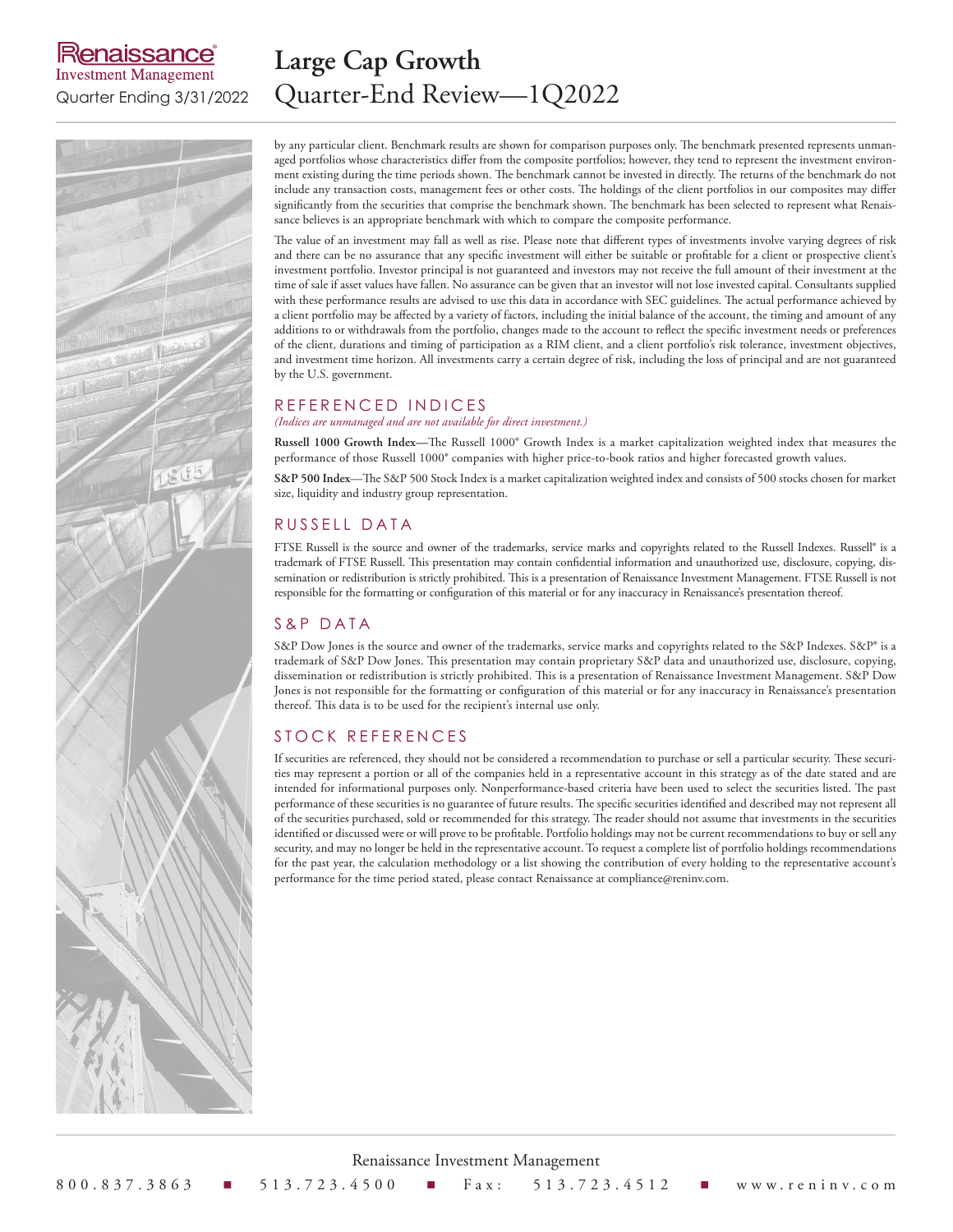### kenaissance **Investment Management**

 $2(55$ 

## **Large Cap Growth** Quarter Ending 3/31/2022 Quarter-End Review—1Q2022

by any particular client. Benchmark results are shown for comparison purposes only. The benchmark presented represents unmanaged portfolios whose characteristics differ from the composite portfolios; however, they tend to represent the investment environment existing during the time periods shown. The benchmark cannot be invested in directly. The returns of the benchmark do not include any transaction costs, management fees or other costs. The holdings of the client portfolios in our composites may differ significantly from the securities that comprise the benchmark shown. The benchmark has been selected to represent what Renaissance believes is an appropriate benchmark with which to compare the composite performance.

The value of an investment may fall as well as rise. Please note that different types of investments involve varying degrees of risk and there can be no assurance that any specific investment will either be suitable or profitable for a client or prospective client's investment portfolio. Investor principal is not guaranteed and investors may not receive the full amount of their investment at the time of sale if asset values have fallen. No assurance can be given that an investor will not lose invested capital. Consultants supplied with these performance results are advised to use this data in accordance with SEC guidelines. The actual performance achieved by a client portfolio may be affected by a variety of factors, including the initial balance of the account, the timing and amount of any additions to or withdrawals from the portfolio, changes made to the account to reflect the specific investment needs or preferences of the client, durations and timing of participation as a RIM client, and a client portfolio's risk tolerance, investment objectives, and investment time horizon. All investments carry a certain degree of risk, including the loss of principal and are not guaranteed by the U.S. government.

#### REFERENCED INDICES

*(Indices are unmanaged and are not available for direct investment.)*

**Russell 1000 Growth Index—**The Russell 1000® Growth Index is a market capitalization weighted index that measures the performance of those Russell 1000® companies with higher price-to-book ratios and higher forecasted growth values.

**S&P 500 Index**—The S&P 500 Stock Index is a market capitalization weighted index and consists of 500 stocks chosen for market size, liquidity and industry group representation.

### RUSSELL DATA

FTSE Russell is the source and owner of the trademarks, service marks and copyrights related to the Russell Indexes. Russell® is a trademark of FTSE Russell. This presentation may contain confidential information and unauthorized use, disclosure, copying, dissemination or redistribution is strictly prohibited. This is a presentation of Renaissance Investment Management. FTSE Russell is not responsible for the formatting or configuration of this material or for any inaccuracy in Renaissance's presentation thereof.

### S&P DATA

S&P Dow Jones is the source and owner of the trademarks, service marks and copyrights related to the S&P Indexes. S&P® is a trademark of S&P Dow Jones. This presentation may contain proprietary S&P data and unauthorized use, disclosure, copying, dissemination or redistribution is strictly prohibited. This is a presentation of Renaissance Investment Management. S&P Dow Jones is not responsible for the formatting or configuration of this material or for any inaccuracy in Renaissance's presentation thereof. This data is to be used for the recipient's internal use only.

### STOCK REFERENCES

If securities are referenced, they should not be considered a recommendation to purchase or sell a particular security. These securities may represent a portion or all of the companies held in a representative account in this strategy as of the date stated and are intended for informational purposes only. Nonperformance-based criteria have been used to select the securities listed. The past performance of these securities is no guarantee of future results. The specific securities identified and described may not represent all of the securities purchased, sold or recommended for this strategy. The reader should not assume that investments in the securities identified or discussed were or will prove to be profitable. Portfolio holdings may not be current recommendations to buy or sell any security, and may no longer be held in the representative account. To request a complete list of portfolio holdings recommendations for the past year, the calculation methodology or a list showing the contribution of every holding to the representative account's performance for the time period stated, please contact Renaissance at compliance@reninv.com.